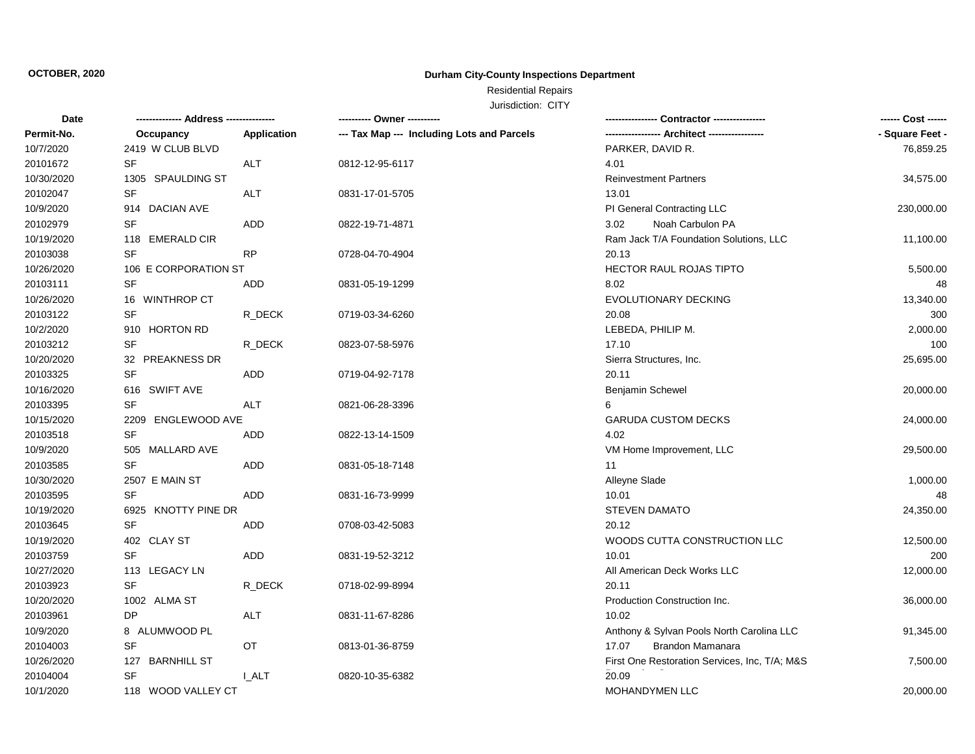## Residential Repairs

| Date       | -------------- Address --------------- |              | ---------- Owner ----------                |                                               | ------ Cost ------ |
|------------|----------------------------------------|--------------|--------------------------------------------|-----------------------------------------------|--------------------|
| Permit-No. | Occupancy                              | Application  | --- Tax Map --- Including Lots and Parcels | ----------------- Architect ----------------- | - Square Feet -    |
| 10/7/2020  | 2419 W CLUB BLVD                       |              |                                            | PARKER, DAVID R.                              | 76,859.25          |
| 20101672   | SF                                     | <b>ALT</b>   | 0812-12-95-6117                            | 4.01                                          |                    |
| 10/30/2020 | 1305 SPAULDING ST                      |              |                                            | <b>Reinvestment Partners</b>                  | 34,575.00          |
| 20102047   | <b>SF</b>                              | <b>ALT</b>   | 0831-17-01-5705                            | 13.01                                         |                    |
| 10/9/2020  | 914 DACIAN AVE                         |              |                                            | PI General Contracting LLC                    | 230,000.00         |
| 20102979   | <b>SF</b>                              | ADD.         | 0822-19-71-4871                            | Noah Carbulon PA<br>3.02                      |                    |
| 10/19/2020 | 118 EMERALD CIR                        |              |                                            | Ram Jack T/A Foundation Solutions, LLC        | 11,100.00          |
| 20103038   | $\ensuremath{\mathsf{SF}}\xspace$      | <b>RP</b>    | 0728-04-70-4904                            | 20.13                                         |                    |
| 10/26/2020 | 106 E CORPORATION ST                   |              |                                            | <b>HECTOR RAUL ROJAS TIPTO</b>                | 5,500.00           |
| 20103111   | <b>SF</b>                              | ADD          | 0831-05-19-1299                            | 8.02                                          | 48                 |
| 10/26/2020 | 16 WINTHROP CT                         |              |                                            | EVOLUTIONARY DECKING                          | 13,340.00          |
| 20103122   | <b>SF</b>                              | R_DECK       | 0719-03-34-6260                            | 20.08                                         | 300                |
| 10/2/2020  | 910 HORTON RD                          |              |                                            | LEBEDA, PHILIP M.                             | 2,000.00           |
| 20103212   | <b>SF</b>                              | R_DECK       | 0823-07-58-5976                            | 17.10                                         | 100                |
| 10/20/2020 | 32 PREAKNESS DR                        |              |                                            | Sierra Structures, Inc.                       | 25,695.00          |
| 20103325   | <b>SF</b>                              | ADD          | 0719-04-92-7178                            | 20.11                                         |                    |
| 10/16/2020 | 616 SWIFT AVE                          |              |                                            | Benjamin Schewel                              | 20,000.00          |
| 20103395   | <b>SF</b>                              | <b>ALT</b>   | 0821-06-28-3396                            | 6                                             |                    |
| 10/15/2020 | 2209 ENGLEWOOD AVE                     |              |                                            | <b>GARUDA CUSTOM DECKS</b>                    | 24,000.00          |
| 20103518   | <b>SF</b>                              | ADD          | 0822-13-14-1509                            | 4.02                                          |                    |
| 10/9/2020  | 505 MALLARD AVE                        |              |                                            | VM Home Improvement, LLC                      | 29,500.00          |
| 20103585   | <b>SF</b>                              | ADD          | 0831-05-18-7148                            | 11                                            |                    |
| 10/30/2020 | 2507 E MAIN ST                         |              |                                            | Alleyne Slade                                 | 1,000.00           |
| 20103595   | <b>SF</b>                              | ADD          | 0831-16-73-9999                            | 10.01                                         | 48                 |
| 10/19/2020 | 6925 KNOTTY PINE DR                    |              |                                            | <b>STEVEN DAMATO</b>                          | 24,350.00          |
| 20103645   | <b>SF</b>                              | ADD          | 0708-03-42-5083                            | 20.12                                         |                    |
| 10/19/2020 | 402 CLAY ST                            |              |                                            | WOODS CUTTA CONSTRUCTION LLC                  | 12,500.00          |
| 20103759   | <b>SF</b>                              | ADD          | 0831-19-52-3212                            | 10.01                                         | 200                |
| 10/27/2020 | 113 LEGACY LN                          |              |                                            | All American Deck Works LLC                   | 12,000.00          |
| 20103923   | <b>SF</b>                              | R_DECK       | 0718-02-99-8994                            | 20.11                                         |                    |
| 10/20/2020 | 1002 ALMA ST                           |              |                                            | Production Construction Inc.                  | 36,000.00          |
| 20103961   | DP                                     | ALT          | 0831-11-67-8286                            | 10.02                                         |                    |
| 10/9/2020  | 8 ALUMWOOD PL                          |              |                                            | Anthony & Sylvan Pools North Carolina LLC     | 91,345.00          |
| 20104003   | SF                                     | OT           | 0813-01-36-8759                            | Brandon Mamanara<br>17.07                     |                    |
| 10/26/2020 | 127 BARNHILL ST                        |              |                                            | First One Restoration Services, Inc, T/A; M&S | 7,500.00           |
| 20104004   | SF                                     | <b>I_ALT</b> | 0820-10-35-6382                            | 20.09                                         |                    |
| 10/1/2020  | 118 WOOD VALLEY CT                     |              |                                            | <b>MOHANDYMEN LLC</b>                         | 20,000.00          |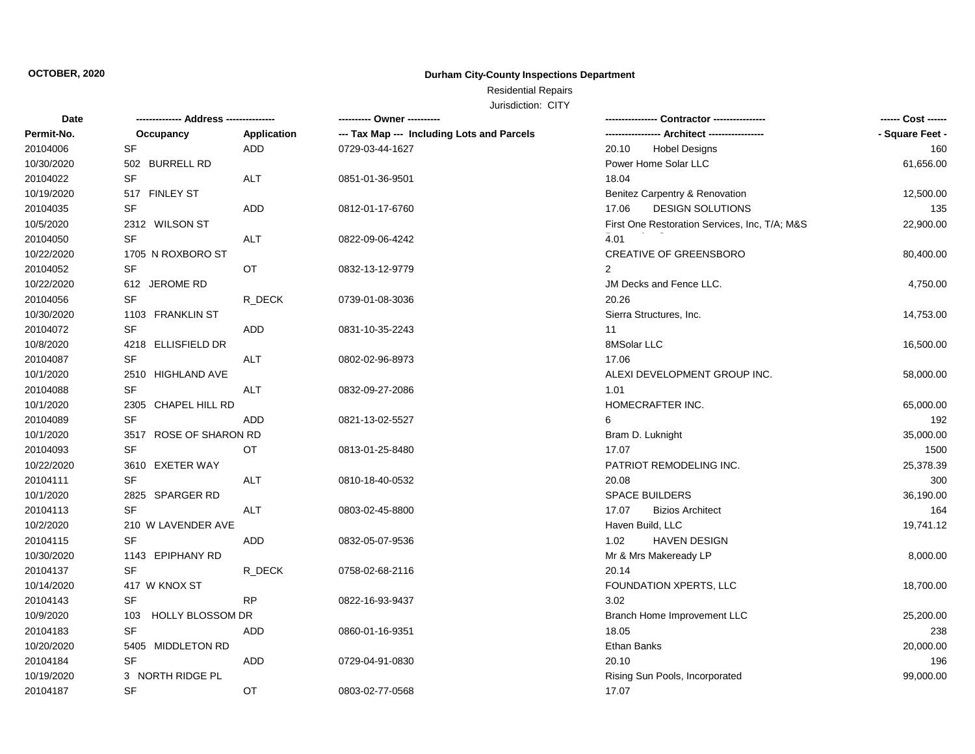## Residential Repairs

| Date       | -------------- Address --         | ------------ | ---------- Owner ----------                |                                               | ------ Cost ------ |
|------------|-----------------------------------|--------------|--------------------------------------------|-----------------------------------------------|--------------------|
| Permit-No. | Occupancy                         | Application  | --- Tax Map --- Including Lots and Parcels |                                               | - Square Feet -    |
| 20104006   | SF                                | <b>ADD</b>   | 0729-03-44-1627                            | 20.10<br><b>Hobel Designs</b>                 | 160                |
| 10/30/2020 | 502 BURRELL RD                    |              |                                            | Power Home Solar LLC                          | 61,656.00          |
| 20104022   | <b>SF</b>                         | <b>ALT</b>   | 0851-01-36-9501                            | 18.04                                         |                    |
| 10/19/2020 | 517 FINLEY ST                     |              |                                            | Benitez Carpentry & Renovation                | 12,500.00          |
| 20104035   | SF                                | ADD          | 0812-01-17-6760                            | <b>DESIGN SOLUTIONS</b><br>17.06              | 135                |
| 10/5/2020  | 2312 WILSON ST                    |              |                                            | First One Restoration Services, Inc, T/A; M&S | 22,900.00          |
| 20104050   | $\ensuremath{\mathsf{SF}}\xspace$ | ALT          | 0822-09-06-4242                            | 4.01                                          |                    |
| 10/22/2020 | 1705 N ROXBORO ST                 |              |                                            | <b>CREATIVE OF GREENSBORO</b>                 | 80,400.00          |
| 20104052   | SF                                | OT           | 0832-13-12-9779                            | $\overline{2}$                                |                    |
| 10/22/2020 | 612 JEROME RD                     |              |                                            | JM Decks and Fence LLC.                       | 4,750.00           |
| 20104056   | <b>SF</b>                         | R DECK       | 0739-01-08-3036                            | 20.26                                         |                    |
| 10/30/2020 | 1103 FRANKLIN ST                  |              |                                            | Sierra Structures, Inc.                       | 14,753.00          |
| 20104072   | SF                                | <b>ADD</b>   | 0831-10-35-2243                            | 11                                            |                    |
| 10/8/2020  | 4218 ELLISFIELD DR                |              |                                            | 8MSolar LLC                                   | 16,500.00          |
| 20104087   | <b>SF</b>                         | ALT          | 0802-02-96-8973                            | 17.06                                         |                    |
| 10/1/2020  | 2510 HIGHLAND AVE                 |              |                                            | ALEXI DEVELOPMENT GROUP INC.                  | 58,000.00          |
| 20104088   | <b>SF</b>                         | <b>ALT</b>   | 0832-09-27-2086                            | 1.01                                          |                    |
| 10/1/2020  | 2305 CHAPEL HILL RD               |              |                                            | HOMECRAFTER INC.                              | 65,000.00          |
| 20104089   | <b>SF</b>                         | ADD          | 0821-13-02-5527                            | 6                                             | 192                |
| 10/1/2020  | 3517 ROSE OF SHARON RD            |              |                                            | Bram D. Luknight                              | 35,000.00          |
| 20104093   | SF                                | ОT           | 0813-01-25-8480                            | 17.07                                         | 1500               |
| 10/22/2020 | 3610 EXETER WAY                   |              |                                            | PATRIOT REMODELING INC.                       | 25,378.39          |
| 20104111   | SF                                | ALT          | 0810-18-40-0532                            | 20.08                                         | 300                |
| 10/1/2020  | 2825 SPARGER RD                   |              |                                            | SPACE BUILDERS                                | 36,190.00          |
| 20104113   | <b>SF</b>                         | ALT          | 0803-02-45-8800                            | 17.07<br><b>Bizios Architect</b>              | 164                |
| 10/2/2020  | 210 W LAVENDER AVE                |              |                                            | Haven Build, LLC                              | 19,741.12          |
| 20104115   | <b>SF</b>                         | ADD          | 0832-05-07-9536                            | <b>HAVEN DESIGN</b><br>1.02                   |                    |
| 10/30/2020 | 1143 EPIPHANY RD                  |              |                                            | Mr & Mrs Makeready LP                         | 8,000.00           |
| 20104137   | SF                                | R_DECK       | 0758-02-68-2116                            | 20.14                                         |                    |
| 10/14/2020 | 417 W KNOX ST                     |              |                                            | FOUNDATION XPERTS, LLC                        | 18,700.00          |
| 20104143   | <b>SF</b>                         | <b>RP</b>    | 0822-16-93-9437                            | 3.02                                          |                    |
| 10/9/2020  | <b>HOLLY BLOSSOM DR</b><br>103    |              |                                            | Branch Home Improvement LLC                   | 25,200.00          |
| 20104183   | SF                                | ADD          | 0860-01-16-9351                            | 18.05                                         | 238                |
| 10/20/2020 | 5405 MIDDLETON RD                 |              |                                            | <b>Ethan Banks</b>                            | 20,000.00          |
| 20104184   | <b>SF</b>                         | <b>ADD</b>   | 0729-04-91-0830                            | 20.10                                         | 196                |
| 10/19/2020 | 3 NORTH RIDGE PL                  |              |                                            | Rising Sun Pools, Incorporated                | 99,000.00          |
| 20104187   | <b>SF</b>                         | OT           | 0803-02-77-0568                            | 17.07                                         |                    |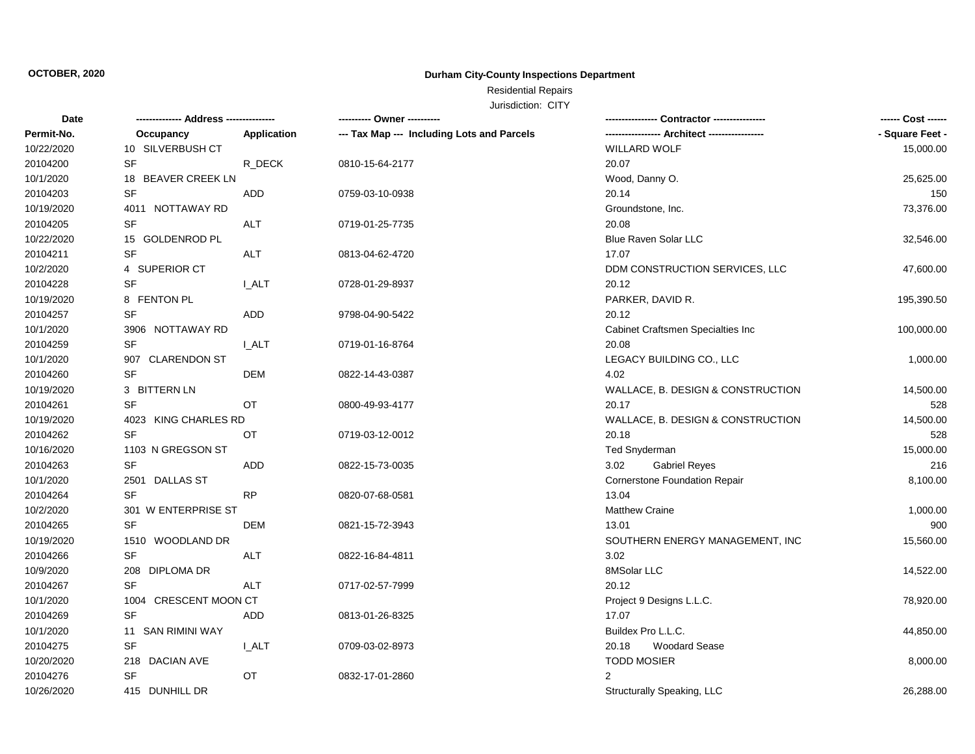## Residential Repairs

| Date       |                       |              | ---------- Owner ----------                |                                               | ------ Cost ------ |
|------------|-----------------------|--------------|--------------------------------------------|-----------------------------------------------|--------------------|
| Permit-No. | Occupancy             | Application  | --- Tax Map --- Including Lots and Parcels | ----------------- Architect ----------------- | - Square Feet -    |
| 10/22/2020 | 10 SILVERBUSH CT      |              |                                            | <b>WILLARD WOLF</b>                           | 15,000.00          |
| 20104200   | <b>SF</b>             | R DECK       | 0810-15-64-2177                            | 20.07                                         |                    |
| 10/1/2020  | 18 BEAVER CREEK LN    |              |                                            | Wood, Danny O.                                | 25,625.00          |
| 20104203   | <b>SF</b>             | ADD          | 0759-03-10-0938                            | 20.14                                         | 150                |
| 10/19/2020 | 4011 NOTTAWAY RD      |              |                                            | Groundstone, Inc.                             | 73,376.00          |
| 20104205   | <b>SF</b>             | ALT          | 0719-01-25-7735                            | 20.08                                         |                    |
| 10/22/2020 | 15 GOLDENROD PL       |              |                                            | Blue Raven Solar LLC                          | 32,546.00          |
| 20104211   | SF                    | ALT          | 0813-04-62-4720                            | 17.07                                         |                    |
| 10/2/2020  | 4 SUPERIOR CT         |              |                                            | DDM CONSTRUCTION SERVICES, LLC                | 47,600.00          |
| 20104228   | <b>SF</b>             | <b>I_ALT</b> | 0728-01-29-8937                            | 20.12                                         |                    |
| 10/19/2020 | 8 FENTON PL           |              |                                            | PARKER, DAVID R.                              | 195,390.50         |
| 20104257   | <b>SF</b>             | ADD          | 9798-04-90-5422                            | 20.12                                         |                    |
| 10/1/2020  | 3906 NOTTAWAY RD      |              |                                            | Cabinet Craftsmen Specialties Inc             | 100,000.00         |
| 20104259   | <b>SF</b>             | <b>I_ALT</b> | 0719-01-16-8764                            | 20.08                                         |                    |
| 10/1/2020  | 907 CLARENDON ST      |              |                                            | LEGACY BUILDING CO., LLC                      | 1,000.00           |
| 20104260   | <b>SF</b>             | <b>DEM</b>   | 0822-14-43-0387                            | 4.02                                          |                    |
| 10/19/2020 | 3 BITTERN LN          |              |                                            | WALLACE, B. DESIGN & CONSTRUCTION             | 14,500.00          |
| 20104261   | <b>SF</b>             | <b>OT</b>    | 0800-49-93-4177                            | 20.17                                         | 528                |
| 10/19/2020 | 4023 KING CHARLES RD  |              |                                            | WALLACE, B. DESIGN & CONSTRUCTION             | 14,500.00          |
| 20104262   | <b>SF</b>             | ОT           | 0719-03-12-0012                            | 20.18                                         | 528                |
| 10/16/2020 | 1103 N GREGSON ST     |              |                                            | <b>Ted Snyderman</b>                          | 15,000.00          |
| 20104263   | <b>SF</b>             | ADD          | 0822-15-73-0035                            | 3.02<br><b>Gabriel Reyes</b>                  | 216                |
| 10/1/2020  | 2501 DALLAS ST        |              |                                            | Cornerstone Foundation Repair                 | 8,100.00           |
| 20104264   | <b>SF</b>             | <b>RP</b>    | 0820-07-68-0581                            | 13.04                                         |                    |
| 10/2/2020  | 301 W ENTERPRISE ST   |              |                                            | <b>Matthew Craine</b>                         | 1,000.00           |
| 20104265   | <b>SF</b>             | <b>DEM</b>   | 0821-15-72-3943                            | 13.01                                         | 900                |
| 10/19/2020 | 1510 WOODLAND DR      |              |                                            | SOUTHERN ENERGY MANAGEMENT, INC               | 15,560.00          |
| 20104266   | <b>SF</b>             | <b>ALT</b>   | 0822-16-84-4811                            | 3.02                                          |                    |
| 10/9/2020  | 208 DIPLOMA DR        |              |                                            | 8MSolar LLC                                   | 14,522.00          |
| 20104267   | <b>SF</b>             | <b>ALT</b>   | 0717-02-57-7999                            | 20.12                                         |                    |
| 10/1/2020  | 1004 CRESCENT MOON CT |              |                                            | Project 9 Designs L.L.C.                      | 78,920.00          |
| 20104269   | <b>SF</b>             | ADD          | 0813-01-26-8325                            | 17.07                                         |                    |
| 10/1/2020  | 11 SAN RIMINI WAY     |              |                                            | Buildex Pro L.L.C.                            | 44,850.00          |
| 20104275   | SF                    | <b>I_ALT</b> | 0709-03-02-8973                            | 20.18<br><b>Woodard Sease</b>                 |                    |
| 10/20/2020 | 218 DACIAN AVE        |              |                                            | <b>TODD MOSIER</b>                            | 8,000.00           |
| 20104276   | SF                    | OT           | 0832-17-01-2860                            | 2                                             |                    |
| 10/26/2020 | 415 DUNHILL DR        |              |                                            | Structurally Speaking, LLC                    | 26,288.00          |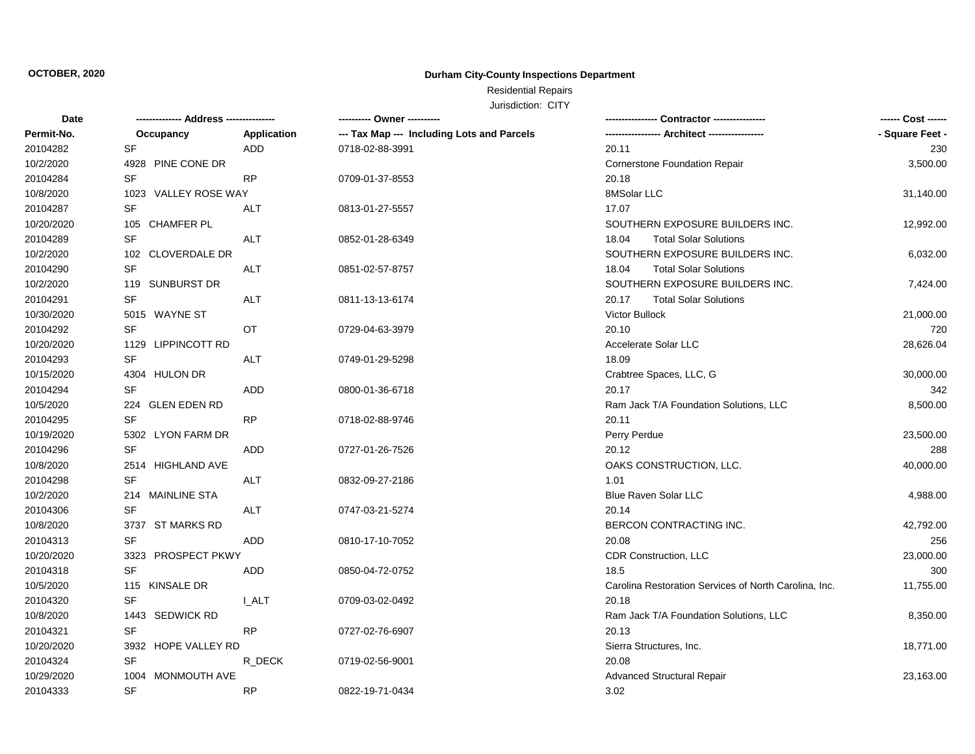## Residential Repairs

| Date       |                                   |             | ---------- Owner ----------                |                                                       | ------ Cost ------ |
|------------|-----------------------------------|-------------|--------------------------------------------|-------------------------------------------------------|--------------------|
| Permit-No. | Occupancy                         | Application | --- Tax Map --- Including Lots and Parcels |                                                       | - Square Feet -    |
| 20104282   | SF                                | <b>ADD</b>  | 0718-02-88-3991                            | 20.11                                                 | 230                |
| 10/2/2020  | 4928 PINE CONE DR                 |             |                                            | Cornerstone Foundation Repair                         | 3,500.00           |
| 20104284   | <b>SF</b>                         | <b>RP</b>   | 0709-01-37-8553                            | 20.18                                                 |                    |
| 10/8/2020  | 1023 VALLEY ROSE WAY              |             |                                            | 8MSolar LLC                                           | 31,140.00          |
| 20104287   | SF                                | <b>ALT</b>  | 0813-01-27-5557                            | 17.07                                                 |                    |
| 10/20/2020 | 105 CHAMFER PL                    |             |                                            | SOUTHERN EXPOSURE BUILDERS INC.                       | 12,992.00          |
| 20104289   | $\ensuremath{\mathsf{SF}}\xspace$ | ALT         | 0852-01-28-6349                            | 18.04<br><b>Total Solar Solutions</b>                 |                    |
| 10/2/2020  | 102 CLOVERDALE DR                 |             |                                            | SOUTHERN EXPOSURE BUILDERS INC.                       | 6,032.00           |
| 20104290   | <b>SF</b>                         | ALT         | 0851-02-57-8757                            | 18.04<br><b>Total Solar Solutions</b>                 |                    |
| 10/2/2020  | 119 SUNBURST DR                   |             |                                            | SOUTHERN EXPOSURE BUILDERS INC.                       | 7,424.00           |
| 20104291   | SF                                | ALT         | 0811-13-13-6174                            | 20.17<br><b>Total Solar Solutions</b>                 |                    |
| 10/30/2020 | 5015 WAYNE ST                     |             |                                            | <b>Victor Bullock</b>                                 | 21,000.00          |
| 20104292   | <b>SF</b>                         | OT          | 0729-04-63-3979                            | 20.10                                                 | 720                |
| 10/20/2020 | 1129 LIPPINCOTT RD                |             |                                            | Accelerate Solar LLC                                  | 28,626.04          |
| 20104293   | <b>SF</b>                         | <b>ALT</b>  | 0749-01-29-5298                            | 18.09                                                 |                    |
| 10/15/2020 | 4304 HULON DR                     |             |                                            | Crabtree Spaces, LLC, G                               | 30,000.00          |
| 20104294   | <b>SF</b>                         | ADD         | 0800-01-36-6718                            | 20.17                                                 | 342                |
| 10/5/2020  | 224 GLEN EDEN RD                  |             |                                            | Ram Jack T/A Foundation Solutions, LLC                | 8,500.00           |
| 20104295   | <b>SF</b>                         | <b>RP</b>   | 0718-02-88-9746                            | 20.11                                                 |                    |
| 10/19/2020 | 5302 LYON FARM DR                 |             |                                            | Perry Perdue                                          | 23,500.00          |
| 20104296   | <b>SF</b>                         | ADD         | 0727-01-26-7526                            | 20.12                                                 | 288                |
| 10/8/2020  | 2514 HIGHLAND AVE                 |             |                                            | OAKS CONSTRUCTION, LLC.                               | 40,000.00          |
| 20104298   | SF                                | ALT         | 0832-09-27-2186                            | 1.01                                                  |                    |
| 10/2/2020  | 214 MAINLINE STA                  |             |                                            | <b>Blue Raven Solar LLC</b>                           | 4,988.00           |
| 20104306   | <b>SF</b>                         | <b>ALT</b>  | 0747-03-21-5274                            | 20.14                                                 |                    |
| 10/8/2020  | 3737 ST MARKS RD                  |             |                                            | BERCON CONTRACTING INC.                               | 42,792.00          |
| 20104313   | <b>SF</b>                         | ADD         | 0810-17-10-7052                            | 20.08                                                 | 256                |
| 10/20/2020 | 3323 PROSPECT PKWY                |             |                                            | CDR Construction, LLC                                 | 23,000.00          |
| 20104318   | SF                                | <b>ADD</b>  | 0850-04-72-0752                            | 18.5                                                  | 300                |
| 10/5/2020  | 115 KINSALE DR                    |             |                                            | Carolina Restoration Services of North Carolina, Inc. | 11,755.00          |
| 20104320   | <b>SF</b>                         | I ALT       | 0709-03-02-0492                            | 20.18                                                 |                    |
| 10/8/2020  | 1443 SEDWICK RD                   |             |                                            | Ram Jack T/A Foundation Solutions, LLC                | 8,350.00           |
| 20104321   | SF                                | <b>RP</b>   | 0727-02-76-6907                            | 20.13                                                 |                    |
| 10/20/2020 | 3932 HOPE VALLEY RD               |             |                                            | Sierra Structures, Inc.                               | 18,771.00          |
| 20104324   | SF                                | R_DECK      | 0719-02-56-9001                            | 20.08                                                 |                    |
| 10/29/2020 | <b>MONMOUTH AVE</b><br>1004       |             |                                            | <b>Advanced Structural Repair</b>                     | 23,163.00          |
| 20104333   | <b>SF</b>                         | <b>RP</b>   | 0822-19-71-0434                            | 3.02                                                  |                    |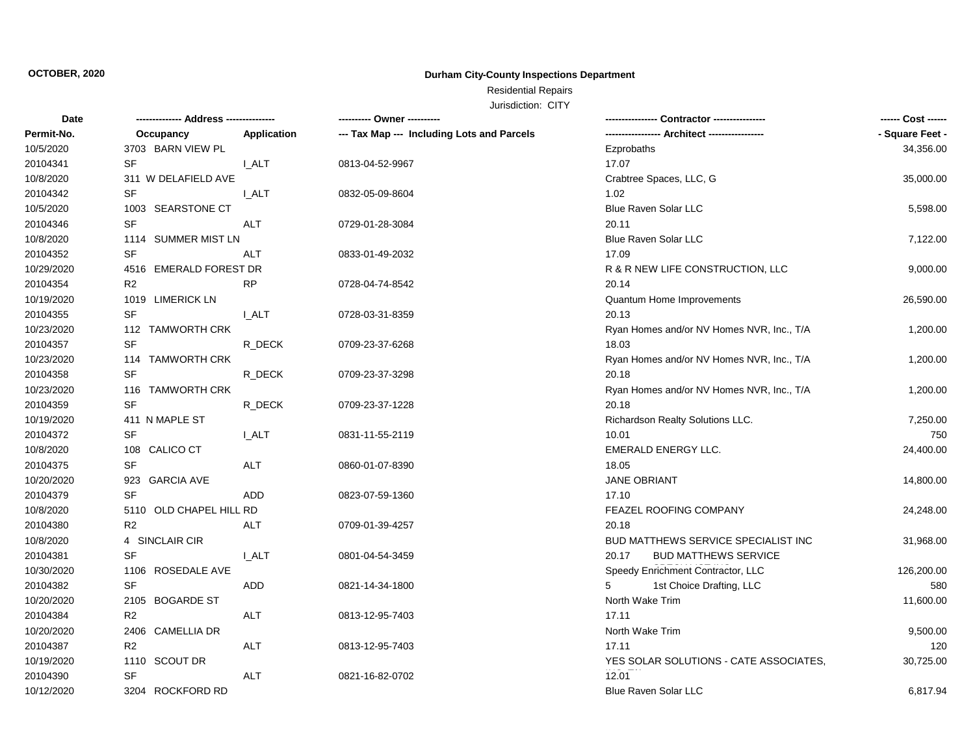## Residential Repairs

| Date       | -------------- Address --------------- |                    |                                            | Contractor ---------------                 | ------ Cost ------ |
|------------|----------------------------------------|--------------------|--------------------------------------------|--------------------------------------------|--------------------|
| Permit-No. | Occupancy                              | <b>Application</b> | --- Tax Map --- Including Lots and Parcels |                                            | - Square Feet -    |
| 10/5/2020  | 3703 BARN VIEW PL                      |                    |                                            | Ezprobaths                                 | 34,356.00          |
| 20104341   | <b>SF</b>                              | <b>I_ALT</b>       | 0813-04-52-9967                            | 17.07                                      |                    |
| 10/8/2020  | 311 W DELAFIELD AVE                    |                    |                                            | Crabtree Spaces, LLC, G                    | 35,000.00          |
| 20104342   | <b>SF</b>                              | I ALT              | 0832-05-09-8604                            | 1.02                                       |                    |
| 10/5/2020  | 1003 SEARSTONE CT                      |                    |                                            | <b>Blue Raven Solar LLC</b>                | 5,598.00           |
| 20104346   | <b>SF</b>                              | <b>ALT</b>         | 0729-01-28-3084                            | 20.11                                      |                    |
| 10/8/2020  | 1114 SUMMER MIST LN                    |                    |                                            | <b>Blue Raven Solar LLC</b>                | 7,122.00           |
| 20104352   | <b>SF</b>                              | <b>ALT</b>         | 0833-01-49-2032                            | 17.09                                      |                    |
| 10/29/2020 | <b>EMERALD FOREST DR</b><br>4516       |                    |                                            | R & R NEW LIFE CONSTRUCTION, LLC           | 9,000.00           |
| 20104354   | R <sub>2</sub>                         | <b>RP</b>          | 0728-04-74-8542                            | 20.14                                      |                    |
| 10/19/2020 | 1019 LIMERICK LN                       |                    |                                            | Quantum Home Improvements                  | 26,590.00          |
| 20104355   | SF                                     | I ALT              | 0728-03-31-8359                            | 20.13                                      |                    |
| 10/23/2020 | 112 TAMWORTH CRK                       |                    |                                            | Ryan Homes and/or NV Homes NVR, Inc., T/A  | 1,200.00           |
| 20104357   | <b>SF</b>                              | R_DECK             | 0709-23-37-6268                            | 18.03                                      |                    |
| 10/23/2020 | 114 TAMWORTH CRK                       |                    |                                            | Ryan Homes and/or NV Homes NVR, Inc., T/A  | 1,200.00           |
| 20104358   | <b>SF</b>                              | R_DECK             | 0709-23-37-3298                            | 20.18                                      |                    |
| 10/23/2020 | 116 TAMWORTH CRK                       |                    |                                            | Ryan Homes and/or NV Homes NVR, Inc., T/A  | 1,200.00           |
| 20104359   | <b>SF</b>                              | R_DECK             | 0709-23-37-1228                            | 20.18                                      |                    |
| 10/19/2020 | 411 N MAPLE ST                         |                    |                                            | Richardson Realty Solutions LLC.           | 7,250.00           |
| 20104372   | <b>SF</b>                              | <b>I_ALT</b>       | 0831-11-55-2119                            | 10.01                                      | 750                |
| 10/8/2020  | 108 CALICO CT                          |                    |                                            | EMERALD ENERGY LLC.                        | 24,400.00          |
| 20104375   | <b>SF</b>                              | <b>ALT</b>         | 0860-01-07-8390                            | 18.05                                      |                    |
| 10/20/2020 | 923 GARCIA AVE                         |                    |                                            | <b>JANE OBRIANT</b>                        | 14,800.00          |
| 20104379   | <b>SF</b>                              | ADD                | 0823-07-59-1360                            | 17.10                                      |                    |
| 10/8/2020  | 5110 OLD CHAPEL HILL RD                |                    |                                            | FEAZEL ROOFING COMPANY                     | 24,248.00          |
| 20104380   | R <sub>2</sub>                         | ALT                | 0709-01-39-4257                            | 20.18                                      |                    |
| 10/8/2020  | 4 SINCLAIR CIR                         |                    |                                            | <b>BUD MATTHEWS SERVICE SPECIALIST INC</b> | 31,968.00          |
| 20104381   | SF                                     | <b>L_ALT</b>       | 0801-04-54-3459                            | <b>BUD MATTHEWS SERVICE</b><br>20.17       |                    |
| 10/30/2020 | 1106 ROSEDALE AVE                      |                    |                                            | Speedy Enrichment Contractor, LLC          | 126,200.00         |
| 20104382   | <b>SF</b>                              | ADD                | 0821-14-34-1800                            | 5<br>1st Choice Drafting, LLC              | 580                |
| 10/20/2020 | 2105 BOGARDE ST                        |                    |                                            | North Wake Trim                            | 11,600.00          |
| 20104384   | R2                                     | <b>ALT</b>         | 0813-12-95-7403                            | 17.11                                      |                    |
| 10/20/2020 | 2406 CAMELLIA DR                       |                    |                                            | North Wake Trim                            | 9,500.00           |
| 20104387   | R <sub>2</sub>                         | <b>ALT</b>         | 0813-12-95-7403                            | 17.11                                      | 120                |
| 10/19/2020 | 1110 SCOUT DR                          |                    |                                            | YES SOLAR SOLUTIONS - CATE ASSOCIATES,     | 30,725.00          |
| 20104390   | <b>SF</b>                              | <b>ALT</b>         | 0821-16-82-0702                            | 12.01                                      |                    |
| 10/12/2020 | 3204 ROCKFORD RD                       |                    |                                            | <b>Blue Raven Solar LLC</b>                | 6,817.94           |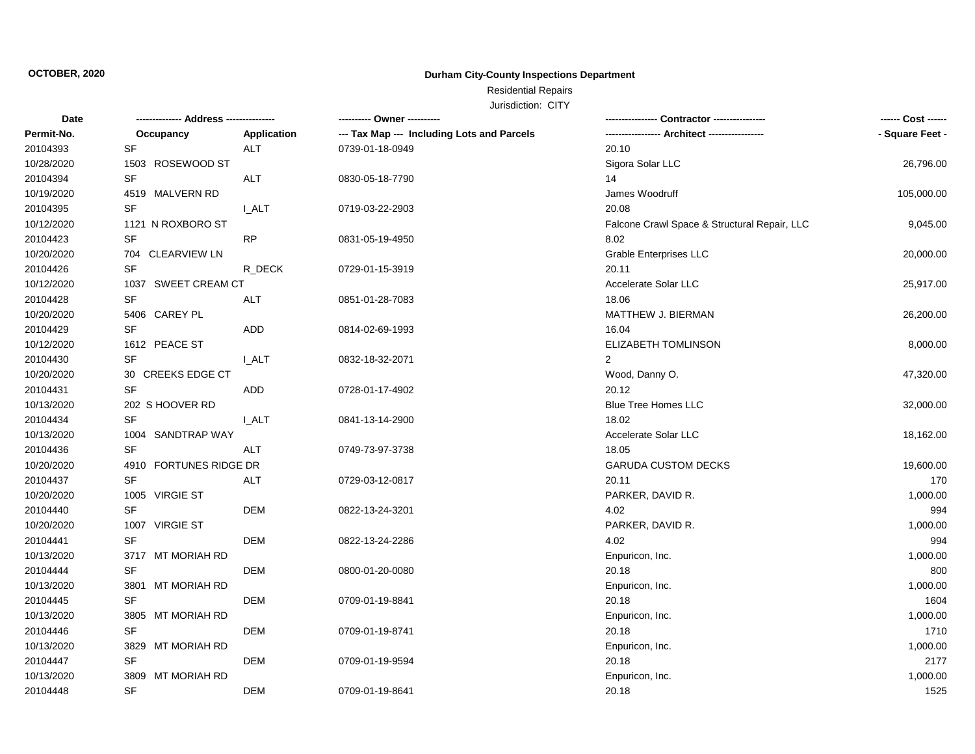## Residential Repairs

| Date       | -------------- Address --------------- |              | ---------- Owner ----------                | Contractor ----------------                  | ------ Cost ------ |
|------------|----------------------------------------|--------------|--------------------------------------------|----------------------------------------------|--------------------|
| Permit-No. | Occupancy                              | Application  | --- Tax Map --- Including Lots and Parcels |                                              | - Square Feet -    |
| 20104393   | <b>SF</b>                              | <b>ALT</b>   | 0739-01-18-0949                            | 20.10                                        |                    |
| 10/28/2020 | 1503 ROSEWOOD ST                       |              |                                            | Sigora Solar LLC                             | 26,796.00          |
| 20104394   | SF                                     | <b>ALT</b>   | 0830-05-18-7790                            | 14                                           |                    |
| 10/19/2020 | 4519 MALVERN RD                        |              |                                            | James Woodruff                               | 105,000.00         |
| 20104395   | <b>SF</b>                              | <b>I_ALT</b> | 0719-03-22-2903                            | 20.08                                        |                    |
| 10/12/2020 | 1121 N ROXBORO ST                      |              |                                            | Falcone Crawl Space & Structural Repair, LLC | 9,045.00           |
| 20104423   | <b>SF</b>                              | <b>RP</b>    | 0831-05-19-4950                            | 8.02                                         |                    |
| 10/20/2020 | 704 CLEARVIEW LN                       |              |                                            | <b>Grable Enterprises LLC</b>                | 20,000.00          |
| 20104426   | <b>SF</b>                              | R_DECK       | 0729-01-15-3919                            | 20.11                                        |                    |
| 10/12/2020 | 1037 SWEET CREAM CT                    |              |                                            | Accelerate Solar LLC                         | 25,917.00          |
| 20104428   | <b>SF</b>                              | ALT          | 0851-01-28-7083                            | 18.06                                        |                    |
| 10/20/2020 | 5406 CAREY PL                          |              |                                            | MATTHEW J. BIERMAN                           | 26,200.00          |
| 20104429   | <b>SF</b>                              | ADD          | 0814-02-69-1993                            | 16.04                                        |                    |
| 10/12/2020 | 1612 PEACE ST                          |              |                                            | <b>ELIZABETH TOMLINSON</b>                   | 8,000.00           |
| 20104430   | <b>SF</b>                              | I ALT        | 0832-18-32-2071                            | 2                                            |                    |
| 10/20/2020 | 30 CREEKS EDGE CT                      |              |                                            | Wood, Danny O.                               | 47,320.00          |
| 20104431   | SF                                     | ADD          | 0728-01-17-4902                            | 20.12                                        |                    |
| 10/13/2020 | 202 S HOOVER RD                        |              |                                            | <b>Blue Tree Homes LLC</b>                   | 32,000.00          |
| 20104434   | <b>SF</b>                              | I_ALT        | 0841-13-14-2900                            | 18.02                                        |                    |
| 10/13/2020 | 1004 SANDTRAP WAY                      |              |                                            | Accelerate Solar LLC                         | 18,162.00          |
| 20104436   | SF                                     | ALT          | 0749-73-97-3738                            | 18.05                                        |                    |
| 10/20/2020 | 4910 FORTUNES RIDGE DR                 |              |                                            | <b>GARUDA CUSTOM DECKS</b>                   | 19,600.00          |
| 20104437   | <b>SF</b>                              | <b>ALT</b>   | 0729-03-12-0817                            | 20.11                                        | 170                |
| 10/20/2020 | 1005 VIRGIE ST                         |              |                                            | PARKER, DAVID R.                             | 1,000.00           |
| 20104440   | SF                                     | DEM          | 0822-13-24-3201                            | 4.02                                         | 994                |
| 10/20/2020 | 1007 VIRGIE ST                         |              |                                            | PARKER, DAVID R.                             | 1,000.00           |
| 20104441   | <b>SF</b>                              | <b>DEM</b>   | 0822-13-24-2286                            | 4.02                                         | 994                |
| 10/13/2020 | 3717 MT MORIAH RD                      |              |                                            | Enpuricon, Inc.                              | 1,000.00           |
| 20104444   | SF                                     | DEM          | 0800-01-20-0080                            | 20.18                                        | 800                |
| 10/13/2020 | 3801 MT MORIAH RD                      |              |                                            | Enpuricon, Inc.                              | 1,000.00           |
| 20104445   | <b>SF</b>                              | <b>DEM</b>   | 0709-01-19-8841                            | 20.18                                        | 1604               |
| 10/13/2020 | 3805 MT MORIAH RD                      |              |                                            | Enpuricon, Inc.                              | 1,000.00           |
| 20104446   | SF                                     | <b>DEM</b>   | 0709-01-19-8741                            | 20.18                                        | 1710               |
| 10/13/2020 | MT MORIAH RD<br>3829                   |              |                                            | Enpuricon, Inc.                              | 1,000.00           |
| 20104447   | SF                                     | <b>DEM</b>   | 0709-01-19-9594                            | 20.18                                        | 2177               |
| 10/13/2020 | 3809 MT MORIAH RD                      |              |                                            | Enpuricon, Inc.                              | 1,000.00           |
| 20104448   | <b>SF</b>                              | <b>DEM</b>   | 0709-01-19-8641                            | 20.18                                        | 1525               |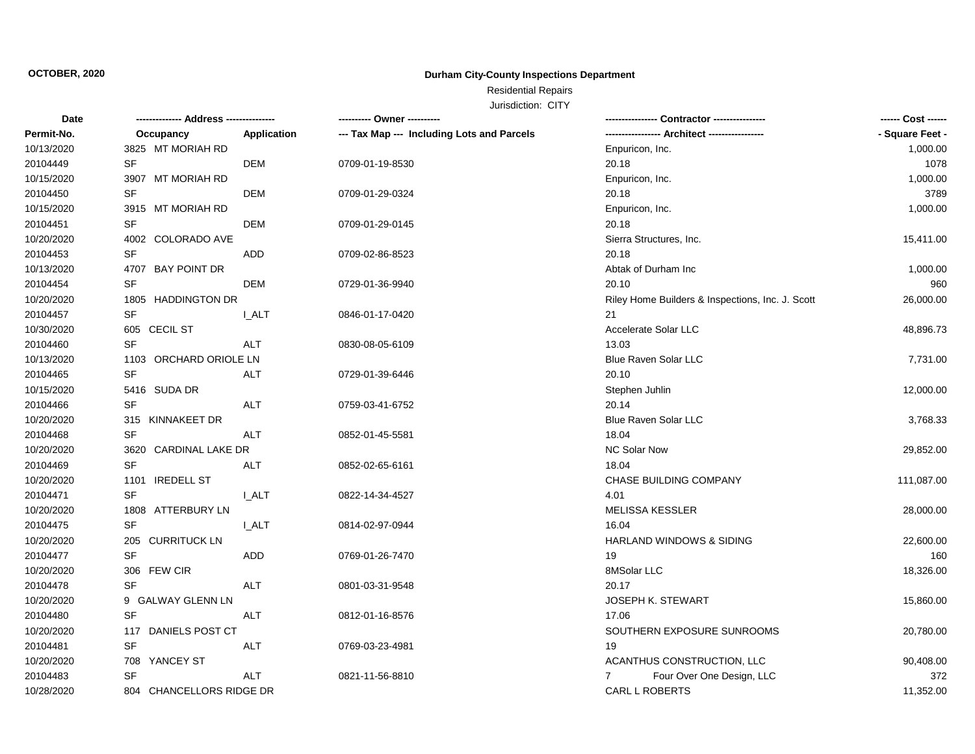## Residential Repairs

| Date       |                                   |                    | ---------- Owner ----------                |                                                  | ------ Cost ------ |
|------------|-----------------------------------|--------------------|--------------------------------------------|--------------------------------------------------|--------------------|
| Permit-No. | Occupancy                         | <b>Application</b> | --- Tax Map --- Including Lots and Parcels | ----------------- Architect -----------------    | - Square Feet -    |
| 10/13/2020 | 3825 MT MORIAH RD                 |                    |                                            | Enpuricon, Inc.                                  | 1,000.00           |
| 20104449   | SF                                | <b>DEM</b>         | 0709-01-19-8530                            | 20.18                                            | 1078               |
| 10/15/2020 | 3907 MT MORIAH RD                 |                    |                                            | Enpuricon, Inc.                                  | 1,000.00           |
| 20104450   | $\ensuremath{\mathsf{SF}}\xspace$ | <b>DEM</b>         | 0709-01-29-0324                            | 20.18                                            | 3789               |
| 10/15/2020 | 3915 MT MORIAH RD                 |                    |                                            | Enpuricon, Inc.                                  | 1,000.00           |
| 20104451   | SF                                | DEM                | 0709-01-29-0145                            | 20.18                                            |                    |
| 10/20/2020 | 4002 COLORADO AVE                 |                    |                                            | Sierra Structures, Inc.                          | 15,411.00          |
| 20104453   | $\ensuremath{\mathsf{SF}}\xspace$ | <b>ADD</b>         | 0709-02-86-8523                            | 20.18                                            |                    |
| 10/13/2020 | 4707 BAY POINT DR                 |                    |                                            | Abtak of Durham Inc                              | 1,000.00           |
| 20104454   | SF                                | <b>DEM</b>         | 0729-01-36-9940                            | 20.10                                            | 960                |
| 10/20/2020 | 1805 HADDINGTON DR                |                    |                                            | Riley Home Builders & Inspections, Inc. J. Scott | 26,000.00          |
| 20104457   | SF                                | I ALT              | 0846-01-17-0420                            | 21                                               |                    |
| 10/30/2020 | 605 CECIL ST                      |                    |                                            | Accelerate Solar LLC                             | 48,896.73          |
| 20104460   | <b>SF</b>                         | <b>ALT</b>         | 0830-08-05-6109                            | 13.03                                            |                    |
| 10/13/2020 | 1103 ORCHARD ORIOLE LN            |                    |                                            | Blue Raven Solar LLC                             | 7,731.00           |
| 20104465   | SF                                | <b>ALT</b>         | 0729-01-39-6446                            | 20.10                                            |                    |
| 10/15/2020 | 5416 SUDA DR                      |                    |                                            | Stephen Juhlin                                   | 12,000.00          |
| 20104466   | <b>SF</b>                         | ALT                | 0759-03-41-6752                            | 20.14                                            |                    |
| 10/20/2020 | 315 KINNAKEET DR                  |                    |                                            | <b>Blue Raven Solar LLC</b>                      | 3,768.33           |
| 20104468   | SF                                | ALT                | 0852-01-45-5581                            | 18.04                                            |                    |
| 10/20/2020 | 3620 CARDINAL LAKE DR             |                    |                                            | <b>NC Solar Now</b>                              | 29,852.00          |
| 20104469   | SF                                | ALT                | 0852-02-65-6161                            | 18.04                                            |                    |
| 10/20/2020 | 1101 IREDELL ST                   |                    |                                            | CHASE BUILDING COMPANY                           | 111,087.00         |
| 20104471   | SF                                | <b>LALT</b>        | 0822-14-34-4527                            | 4.01                                             |                    |
| 10/20/2020 | 1808 ATTERBURY LN                 |                    |                                            | <b>MELISSA KESSLER</b>                           | 28,000.00          |
| 20104475   | SF                                | <b>I_ALT</b>       | 0814-02-97-0944                            | 16.04                                            |                    |
| 10/20/2020 | 205 CURRITUCK LN                  |                    |                                            | HARLAND WINDOWS & SIDING                         | 22,600.00          |
| 20104477   | <b>SF</b>                         | ADD                | 0769-01-26-7470                            | 19                                               | 160                |
| 10/20/2020 | 306 FEW CIR                       |                    |                                            | 8MSolar LLC                                      | 18,326.00          |
| 20104478   | <b>SF</b>                         | <b>ALT</b>         | 0801-03-31-9548                            | 20.17                                            |                    |
| 10/20/2020 | 9 GALWAY GLENN LN                 |                    |                                            | JOSEPH K. STEWART                                | 15,860.00          |
| 20104480   | SF                                | ALT                | 0812-01-16-8576                            | 17.06                                            |                    |
| 10/20/2020 | 117 DANIELS POST CT               |                    |                                            | SOUTHERN EXPOSURE SUNROOMS                       | 20,780.00          |
| 20104481   | SF                                | <b>ALT</b>         | 0769-03-23-4981                            | 19                                               |                    |
| 10/20/2020 | 708 YANCEY ST                     |                    |                                            | ACANTHUS CONSTRUCTION, LLC                       | 90,408.00          |
| 20104483   | <b>SF</b>                         | <b>ALT</b>         | 0821-11-56-8810                            | Four Over One Design, LLC<br>$7^{\circ}$         | 372                |
| 10/28/2020 | 804 CHANCELLORS RIDGE DR          |                    |                                            | CARL L ROBERTS                                   | 11,352.00          |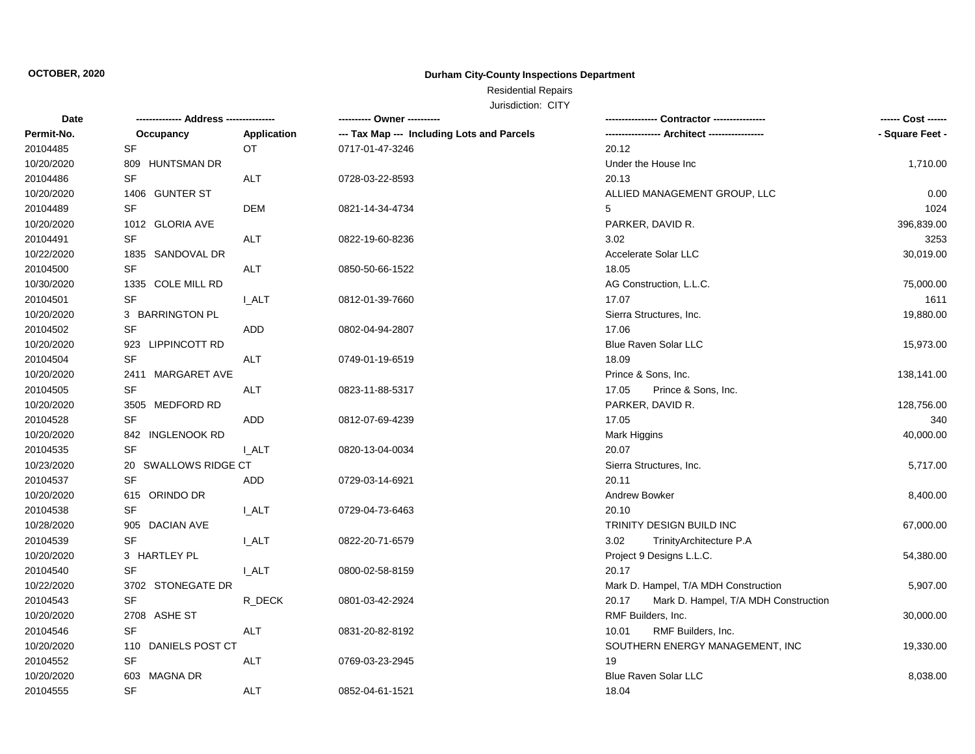## Residential Repairs

| Date       | -------------- Address --------------- |                    | ---------- Owner ----------                |                                               | ------ Cost ------ |
|------------|----------------------------------------|--------------------|--------------------------------------------|-----------------------------------------------|--------------------|
| Permit-No. | Occupancy                              | <b>Application</b> | --- Tax Map --- Including Lots and Parcels | ----------------- Architect ----------------- | - Square Feet -    |
| 20104485   | <b>SF</b>                              | OT.                | 0717-01-47-3246                            | 20.12                                         |                    |
| 10/20/2020 | 809 HUNTSMAN DR                        |                    |                                            | Under the House Inc                           | 1,710.00           |
| 20104486   | <b>SF</b>                              | <b>ALT</b>         | 0728-03-22-8593                            | 20.13                                         |                    |
| 10/20/2020 | 1406 GUNTER ST                         |                    |                                            | ALLIED MANAGEMENT GROUP, LLC                  | 0.00               |
| 20104489   | SF                                     | <b>DEM</b>         | 0821-14-34-4734                            | 5                                             | 1024               |
| 10/20/2020 | 1012 GLORIA AVE                        |                    |                                            | PARKER, DAVID R.                              | 396,839.00         |
| 20104491   | SF                                     | ALT                | 0822-19-60-8236                            | 3.02                                          | 3253               |
| 10/22/2020 | 1835 SANDOVAL DR                       |                    |                                            | Accelerate Solar LLC                          | 30,019.00          |
| 20104500   | <b>SF</b>                              | ALT                | 0850-50-66-1522                            | 18.05                                         |                    |
| 10/30/2020 | 1335 COLE MILL RD                      |                    |                                            | AG Construction, L.L.C.                       | 75,000.00          |
| 20104501   | <b>SF</b>                              | I ALT              | 0812-01-39-7660                            | 17.07                                         | 1611               |
| 10/20/2020 | 3 BARRINGTON PL                        |                    |                                            | Sierra Structures, Inc.                       | 19,880.00          |
| 20104502   | SF                                     | ADD                | 0802-04-94-2807                            | 17.06                                         |                    |
| 10/20/2020 | 923 LIPPINCOTT RD                      |                    |                                            | <b>Blue Raven Solar LLC</b>                   | 15,973.00          |
| 20104504   | <b>SF</b>                              | ALT                | 0749-01-19-6519                            | 18.09                                         |                    |
| 10/20/2020 | 2411 MARGARET AVE                      |                    |                                            | Prince & Sons, Inc.                           | 138,141.00         |
| 20104505   | <b>SF</b>                              | ALT                | 0823-11-88-5317                            | 17.05<br>Prince & Sons, Inc.                  |                    |
| 10/20/2020 | 3505 MEDFORD RD                        |                    |                                            | PARKER, DAVID R.                              | 128,756.00         |
| 20104528   | <b>SF</b>                              | ADD                | 0812-07-69-4239                            | 17.05                                         | 340                |
| 10/20/2020 | 842 INGLENOOK RD                       |                    |                                            | Mark Higgins                                  | 40,000.00          |
| 20104535   | SF                                     | <b>LALT</b>        | 0820-13-04-0034                            | 20.07                                         |                    |
| 10/23/2020 | 20 SWALLOWS RIDGE CT                   |                    |                                            | Sierra Structures, Inc.                       | 5,717.00           |
| 20104537   | <b>SF</b>                              | ADD                | 0729-03-14-6921                            | 20.11                                         |                    |
| 10/20/2020 | 615 ORINDO DR                          |                    |                                            | <b>Andrew Bowker</b>                          | 8,400.00           |
| 20104538   | <b>SF</b>                              | I ALT              | 0729-04-73-6463                            | 20.10                                         |                    |
| 10/28/2020 | 905 DACIAN AVE                         |                    |                                            | TRINITY DESIGN BUILD INC                      | 67,000.00          |
| 20104539   | SF                                     | <b>I_ALT</b>       | 0822-20-71-6579                            | 3.02<br>TrinityArchitecture P.A               |                    |
| 10/20/2020 | 3 HARTLEY PL                           |                    |                                            | Project 9 Designs L.L.C.                      | 54,380.00          |
| 20104540   | SF                                     | <b>I_ALT</b>       | 0800-02-58-8159                            | 20.17                                         |                    |
| 10/22/2020 | 3702 STONEGATE DR                      |                    |                                            | Mark D. Hampel, T/A MDH Construction          | 5,907.00           |
| 20104543   | <b>SF</b>                              | R DECK             | 0801-03-42-2924                            | 20.17<br>Mark D. Hampel, T/A MDH Construction |                    |
| 10/20/2020 | 2708 ASHE ST                           |                    |                                            | RMF Builders, Inc.                            | 30,000.00          |
| 20104546   | SF                                     | ALT                | 0831-20-82-8192                            | 10.01<br>RMF Builders, Inc.                   |                    |
| 10/20/2020 | 110 DANIELS POST CT                    |                    |                                            | SOUTHERN ENERGY MANAGEMENT, INC               | 19,330.00          |
| 20104552   | SF                                     | <b>ALT</b>         | 0769-03-23-2945                            | 19                                            |                    |
| 10/20/2020 | 603 MAGNA DR                           |                    |                                            | Blue Raven Solar LLC                          | 8,038.00           |
| 20104555   | <b>SF</b>                              | <b>ALT</b>         | 0852-04-61-1521                            | 18.04                                         |                    |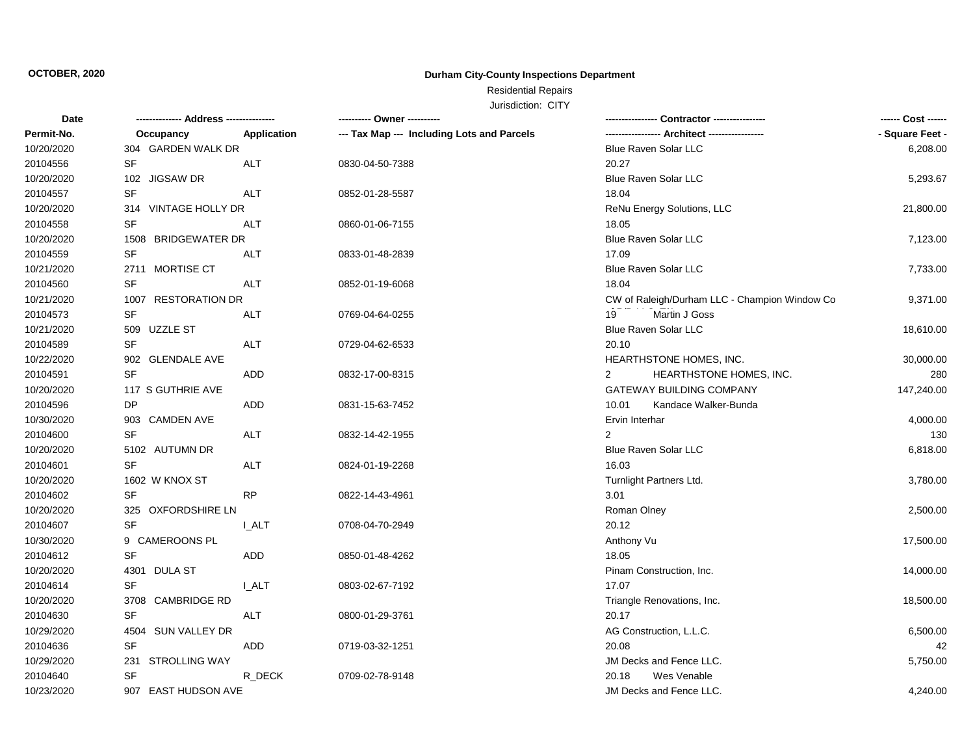## Residential Repairs

| Date       | -------------- Address --------------- |             | ---------- Owner ----------                |                                               | ------ Cost ------ |
|------------|----------------------------------------|-------------|--------------------------------------------|-----------------------------------------------|--------------------|
| Permit-No. | Occupancy                              | Application | --- Tax Map --- Including Lots and Parcels | ----------------- Architect ------------      | - Square Feet -    |
| 10/20/2020 | 304 GARDEN WALK DR                     |             |                                            | <b>Blue Raven Solar LLC</b>                   | 6,208.00           |
| 20104556   | SF                                     | ALT         | 0830-04-50-7388                            | 20.27                                         |                    |
| 10/20/2020 | 102 JIGSAW DR                          |             |                                            | Blue Raven Solar LLC                          | 5,293.67           |
| 20104557   | SF                                     | <b>ALT</b>  | 0852-01-28-5587                            | 18.04                                         |                    |
| 10/20/2020 | 314 VINTAGE HOLLY DR                   |             |                                            | ReNu Energy Solutions, LLC                    | 21,800.00          |
| 20104558   | <b>SF</b>                              | <b>ALT</b>  | 0860-01-06-7155                            | 18.05                                         |                    |
| 10/20/2020 | 1508 BRIDGEWATER DR                    |             |                                            | <b>Blue Raven Solar LLC</b>                   | 7,123.00           |
| 20104559   | $\ensuremath{\mathsf{SF}}\xspace$      | <b>ALT</b>  | 0833-01-48-2839                            | 17.09                                         |                    |
| 10/21/2020 | 2711 MORTISE CT                        |             |                                            | Blue Raven Solar LLC                          | 7,733.00           |
| 20104560   | SF                                     | ALT         | 0852-01-19-6068                            | 18.04                                         |                    |
| 10/21/2020 | 1007 RESTORATION DR                    |             |                                            | CW of Raleigh/Durham LLC - Champion Window Co | 9,371.00           |
| 20104573   | SF                                     | <b>ALT</b>  | 0769-04-64-0255                            | 19<br>Martin J Goss                           |                    |
| 10/21/2020 | 509 UZZLE ST                           |             |                                            | <b>Blue Raven Solar LLC</b>                   | 18,610.00          |
| 20104589   | <b>SF</b>                              | <b>ALT</b>  | 0729-04-62-6533                            | 20.10                                         |                    |
| 10/22/2020 | 902 GLENDALE AVE                       |             |                                            | HEARTHSTONE HOMES, INC.                       | 30,000.00          |
| 20104591   | <b>SF</b>                              | <b>ADD</b>  | 0832-17-00-8315                            | HEARTHSTONE HOMES, INC.<br>2                  | 280                |
| 10/20/2020 | 117 S GUTHRIE AVE                      |             |                                            | <b>GATEWAY BUILDING COMPANY</b>               | 147,240.00         |
| 20104596   | DP                                     | ADD         | 0831-15-63-7452                            | 10.01<br>Kandace Walker-Bunda                 |                    |
| 10/30/2020 | 903 CAMDEN AVE                         |             |                                            | Ervin Interhar                                | 4,000.00           |
| 20104600   | SF                                     | ALT         | 0832-14-42-1955                            | 2                                             | 130                |
| 10/20/2020 | 5102 AUTUMN DR                         |             |                                            | <b>Blue Raven Solar LLC</b>                   | 6,818.00           |
| 20104601   | SF                                     | <b>ALT</b>  | 0824-01-19-2268                            | 16.03                                         |                    |
| 10/20/2020 | 1602 W KNOX ST                         |             |                                            | Turnlight Partners Ltd.                       | 3,780.00           |
| 20104602   | SF                                     | <b>RP</b>   | 0822-14-43-4961                            | 3.01                                          |                    |
| 10/20/2020 | 325 OXFORDSHIRE LN                     |             |                                            | Roman Olney                                   | 2,500.00           |
| 20104607   | <b>SF</b>                              | <b>LALT</b> | 0708-04-70-2949                            | 20.12                                         |                    |
| 10/30/2020 | 9 CAMEROONS PL                         |             |                                            | Anthony Vu                                    | 17,500.00          |
| 20104612   | <b>SF</b>                              | ADD         | 0850-01-48-4262                            | 18.05                                         |                    |
| 10/20/2020 | 4301 DULA ST                           |             |                                            | Pinam Construction, Inc.                      | 14,000.00          |
| 20104614   | <b>SF</b>                              | I ALT       | 0803-02-67-7192                            | 17.07                                         |                    |
| 10/20/2020 | 3708 CAMBRIDGE RD                      |             |                                            | Triangle Renovations, Inc.                    | 18,500.00          |
| 20104630   | <b>SF</b>                              | ALT         | 0800-01-29-3761                            | 20.17                                         |                    |
| 10/29/2020 | 4504 SUN VALLEY DR                     |             |                                            | AG Construction, L.L.C.                       | 6,500.00           |
| 20104636   | SF                                     | ADD         | 0719-03-32-1251                            | 20.08                                         | 42                 |
| 10/29/2020 | 231 STROLLING WAY                      |             |                                            | JM Decks and Fence LLC.                       | 5,750.00           |
| 20104640   | SF                                     | R_DECK      | 0709-02-78-9148                            | Wes Venable<br>20.18                          |                    |
| 10/23/2020 | 907 EAST HUDSON AVE                    |             |                                            | JM Decks and Fence LLC.                       | 4,240.00           |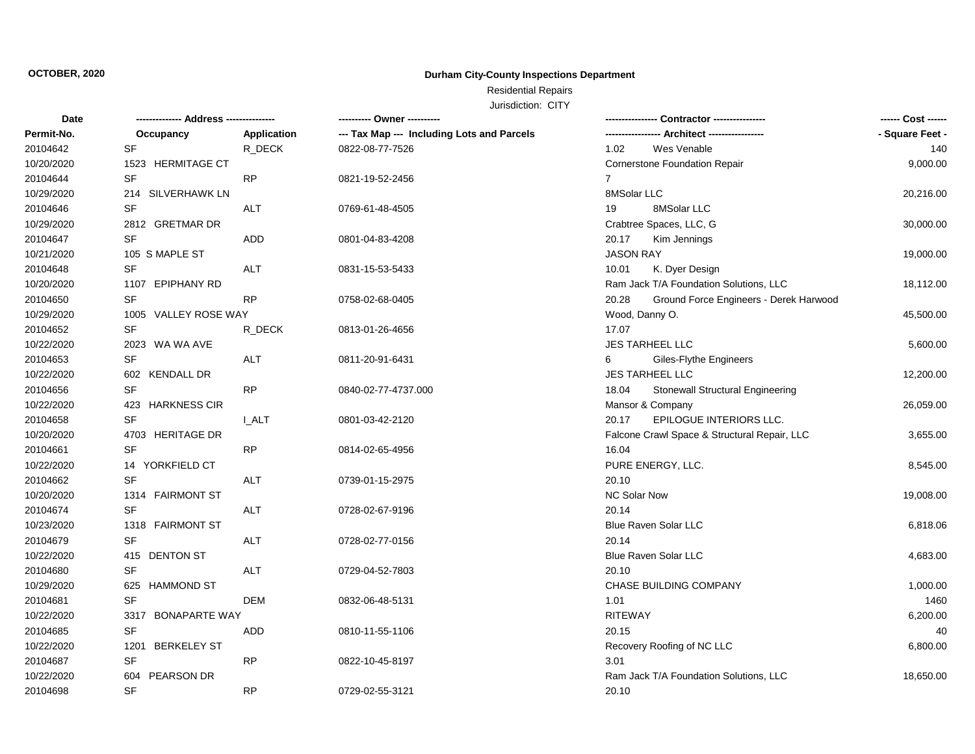## Residential Repairs

| Date       |                      | ------------ | ---------- Owner ----------                |                                                  | ------ Cost ------ |
|------------|----------------------|--------------|--------------------------------------------|--------------------------------------------------|--------------------|
| Permit-No. | Occupancy            | Application  | --- Tax Map --- Including Lots and Parcels | ---- Architect -----------------                 | - Square Feet -    |
| 20104642   | SF                   | R_DECK       | 0822-08-77-7526                            | Wes Venable<br>1.02                              | 140                |
| 10/20/2020 | 1523 HERMITAGE CT    |              |                                            | Cornerstone Foundation Repair                    | 9,000.00           |
| 20104644   | SF                   | <b>RP</b>    | 0821-19-52-2456                            | $\overline{7}$                                   |                    |
| 10/29/2020 | 214 SILVERHAWK LN    |              |                                            | 8MSolar LLC                                      | 20,216.00          |
| 20104646   | <b>SF</b>            | <b>ALT</b>   | 0769-61-48-4505                            | 19<br>8MSolar LLC                                |                    |
| 10/29/2020 | 2812 GRETMAR DR      |              |                                            | Crabtree Spaces, LLC, G                          | 30,000.00          |
| 20104647   | SF                   | <b>ADD</b>   | 0801-04-83-4208                            | 20.17<br>Kim Jennings                            |                    |
| 10/21/2020 | 105 S MAPLE ST       |              |                                            | <b>JASON RAY</b>                                 | 19,000.00          |
| 20104648   | <b>SF</b>            | <b>ALT</b>   | 0831-15-53-5433                            | 10.01<br>K. Dyer Design                          |                    |
| 10/20/2020 | 1107 EPIPHANY RD     |              |                                            | Ram Jack T/A Foundation Solutions, LLC           | 18,112.00          |
| 20104650   | <b>SF</b>            | <b>RP</b>    | 0758-02-68-0405                            | 20.28<br>Ground Force Engineers - Derek Harwood  |                    |
| 10/29/2020 | 1005 VALLEY ROSE WAY |              |                                            | Wood, Danny O.                                   | 45,500.00          |
| 20104652   | <b>SF</b>            | R_DECK       | 0813-01-26-4656                            | 17.07                                            |                    |
| 10/22/2020 | 2023 WA WA AVE       |              |                                            | <b>JES TARHEEL LLC</b>                           | 5,600.00           |
| 20104653   | <b>SF</b>            | <b>ALT</b>   | 0811-20-91-6431                            | Giles-Flythe Engineers<br>6                      |                    |
| 10/22/2020 | 602 KENDALL DR       |              |                                            | <b>JES TARHEEL LLC</b>                           | 12,200.00          |
| 20104656   | <b>SF</b>            | <b>RP</b>    | 0840-02-77-4737.000                        | 18.04<br><b>Stonewall Structural Engineering</b> |                    |
| 10/22/2020 | 423 HARKNESS CIR     |              |                                            | Mansor & Company                                 | 26,059.00          |
| 20104658   | <b>SF</b>            | <b>L_ALT</b> | 0801-03-42-2120                            | <b>EPILOGUE INTERIORS LLC.</b><br>20.17          |                    |
| 10/20/2020 | 4703 HERITAGE DR     |              |                                            | Falcone Crawl Space & Structural Repair, LLC     | 3,655.00           |
| 20104661   | <b>SF</b>            | <b>RP</b>    | 0814-02-65-4956                            | 16.04                                            |                    |
| 10/22/2020 | 14 YORKFIELD CT      |              |                                            | PURE ENERGY, LLC.                                | 8,545.00           |
| 20104662   | <b>SF</b>            | ALT          | 0739-01-15-2975                            | 20.10                                            |                    |
| 10/20/2020 | 1314 FAIRMONT ST     |              |                                            | NC Solar Now                                     | 19,008.00          |
| 20104674   | <b>SF</b>            | ALT          | 0728-02-67-9196                            | 20.14                                            |                    |
| 10/23/2020 | 1318 FAIRMONT ST     |              |                                            | Blue Raven Solar LLC                             | 6,818.06           |
| 20104679   | <b>SF</b>            | ALT          | 0728-02-77-0156                            | 20.14                                            |                    |
| 10/22/2020 | 415 DENTON ST        |              |                                            | Blue Raven Solar LLC                             | 4,683.00           |
| 20104680   | <b>SF</b>            | ALT          | 0729-04-52-7803                            | 20.10                                            |                    |
| 10/29/2020 | 625 HAMMOND ST       |              |                                            | CHASE BUILDING COMPANY                           | 1,000.00           |
| 20104681   | SF                   | <b>DEM</b>   | 0832-06-48-5131                            | 1.01                                             | 1460               |
| 10/22/2020 | 3317 BONAPARTE WAY   |              |                                            | <b>RITEWAY</b>                                   | 6,200.00           |
| 20104685   | <b>SF</b>            | ADD          | 0810-11-55-1106                            | 20.15                                            | 40                 |
| 10/22/2020 | 1201 BERKELEY ST     |              |                                            | Recovery Roofing of NC LLC                       | 6,800.00           |
| 20104687   | <b>SF</b>            | <b>RP</b>    | 0822-10-45-8197                            | 3.01                                             |                    |
| 10/22/2020 | 604 PEARSON DR       |              |                                            | Ram Jack T/A Foundation Solutions, LLC           | 18,650.00          |
| 20104698   | <b>SF</b>            | <b>RP</b>    | 0729-02-55-3121                            | 20.10                                            |                    |